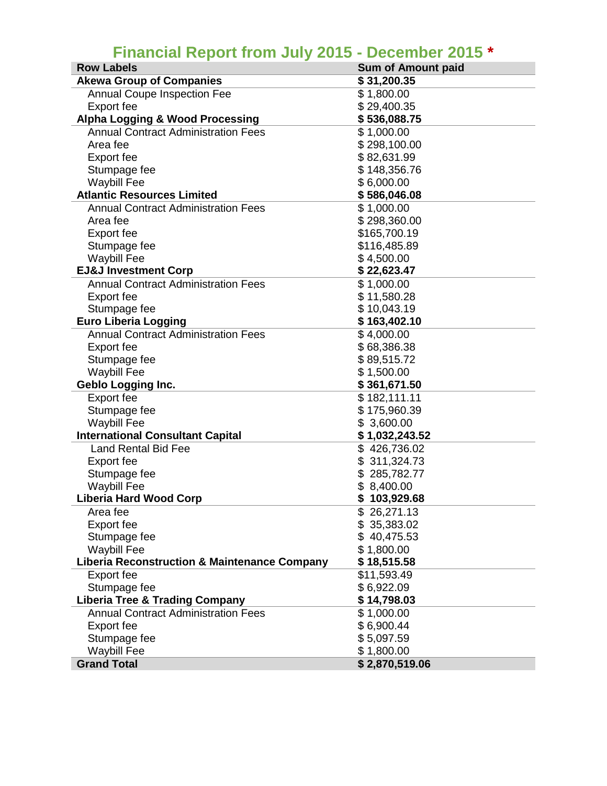## **Financial Report from July 2015 - December 2015 \***

| <b>Row Labels</b>                                       | <b>Sum of Amount paid</b> |  |  |
|---------------------------------------------------------|---------------------------|--|--|
| <b>Akewa Group of Companies</b>                         | \$31,200.35               |  |  |
| <b>Annual Coupe Inspection Fee</b>                      | \$1,800.00                |  |  |
| Export fee                                              | \$29,400.35               |  |  |
| <b>Alpha Logging &amp; Wood Processing</b>              | \$536,088.75              |  |  |
| <b>Annual Contract Administration Fees</b>              | \$1,000.00                |  |  |
| Area fee                                                | \$298,100.00              |  |  |
| Export fee                                              | \$82,631.99               |  |  |
| Stumpage fee                                            | \$148,356.76              |  |  |
| <b>Waybill Fee</b>                                      | \$6,000.00                |  |  |
| <b>Atlantic Resources Limited</b>                       | \$586,046.08              |  |  |
| <b>Annual Contract Administration Fees</b>              | \$1,000.00                |  |  |
| Area fee                                                | \$298,360.00              |  |  |
| Export fee                                              | \$165,700.19              |  |  |
| Stumpage fee                                            | \$116,485.89              |  |  |
| <b>Waybill Fee</b>                                      | \$4,500.00                |  |  |
| <b>EJ&amp;J Investment Corp</b>                         | \$22,623.47               |  |  |
| <b>Annual Contract Administration Fees</b>              | \$1,000.00                |  |  |
| <b>Export fee</b>                                       | \$11,580.28               |  |  |
| Stumpage fee                                            | \$10,043.19               |  |  |
| <b>Euro Liberia Logging</b>                             | \$163,402.10              |  |  |
| <b>Annual Contract Administration Fees</b>              | \$4,000.00                |  |  |
| <b>Export fee</b>                                       | \$68,386.38               |  |  |
| Stumpage fee                                            | \$89,515.72               |  |  |
| <b>Waybill Fee</b>                                      | \$1,500.00                |  |  |
| <b>Geblo Logging Inc.</b>                               | \$361,671.50              |  |  |
| <b>Export fee</b>                                       | \$182,111.11              |  |  |
| Stumpage fee                                            | \$175,960.39              |  |  |
| <b>Waybill Fee</b>                                      | \$3,600.00                |  |  |
| <b>International Consultant Capital</b>                 | \$1,032,243.52            |  |  |
| <b>Land Rental Bid Fee</b>                              | \$426,736.02              |  |  |
| <b>Export fee</b>                                       | \$311,324.73              |  |  |
| Stumpage fee                                            | \$285,782.77              |  |  |
| <b>Waybill Fee</b>                                      | \$8,400.00                |  |  |
| <b>Liberia Hard Wood Corp</b>                           | 103,929.68<br>\$          |  |  |
| Area fee                                                | \$26,271.13               |  |  |
| <b>Export fee</b>                                       | \$35,383.02               |  |  |
| Stumpage fee                                            | 40,475.53                 |  |  |
| <b>Waybill Fee</b>                                      | \$1,800.00                |  |  |
| <b>Liberia Reconstruction &amp; Maintenance Company</b> | \$18,515.58               |  |  |
| <b>Export fee</b>                                       | \$11,593.49               |  |  |
| Stumpage fee                                            | \$6,922.09                |  |  |
| <b>Liberia Tree &amp; Trading Company</b>               | \$14,798.03               |  |  |
| <b>Annual Contract Administration Fees</b>              | \$1,000.00                |  |  |
| <b>Export fee</b>                                       | \$6,900.44                |  |  |
| Stumpage fee                                            | \$5,097.59                |  |  |
| <b>Waybill Fee</b>                                      | \$1,800.00                |  |  |
| <b>Grand Total</b>                                      | \$2,870,519.06            |  |  |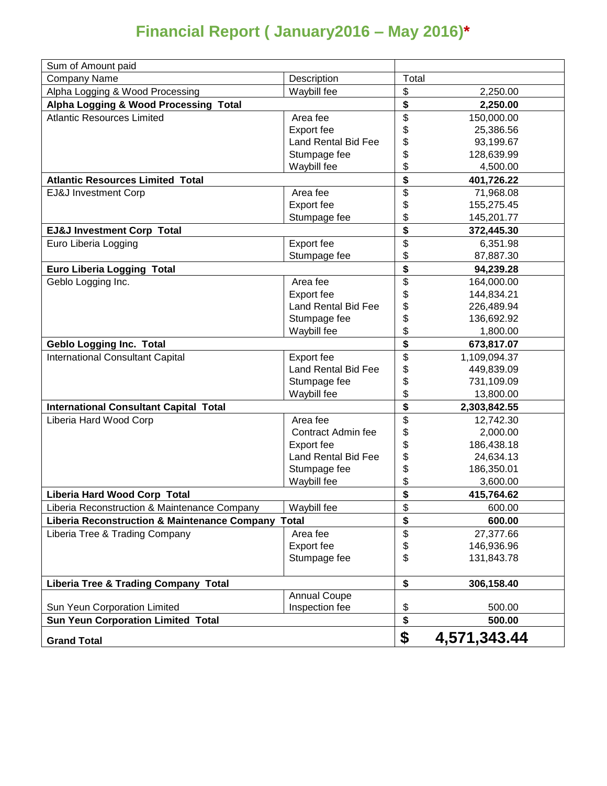## **Financial Report ( January2016 – May 2016)\***

| Sum of Amount paid                                 |                     |                                      |              |
|----------------------------------------------------|---------------------|--------------------------------------|--------------|
| <b>Company Name</b>                                | Description         | Total                                |              |
| Alpha Logging & Wood Processing                    | Waybill fee         | \$                                   | 2,250.00     |
| Alpha Logging & Wood Processing Total              |                     | \$                                   | 2,250.00     |
| <b>Atlantic Resources Limited</b>                  | Area fee            |                                      | 150,000.00   |
|                                                    | Export fee          | \$<br>\$                             | 25,386.56    |
|                                                    | Land Rental Bid Fee | \$                                   | 93,199.67    |
|                                                    | Stumpage fee        | \$                                   | 128,639.99   |
|                                                    | Waybill fee         | \$                                   | 4,500.00     |
| <b>Atlantic Resources Limited Total</b>            |                     | \$                                   | 401,726.22   |
| EJ&J Investment Corp                               | Area fee            | \$                                   | 71,968.08    |
|                                                    | Export fee          | \$                                   | 155,275.45   |
|                                                    | Stumpage fee        | \$                                   | 145,201.77   |
| <b>EJ&amp;J Investment Corp Total</b>              |                     | \$                                   | 372,445.30   |
| Euro Liberia Logging                               | <b>Export fee</b>   | \$                                   | 6,351.98     |
|                                                    | Stumpage fee        | \$                                   | 87,887.30    |
| <b>Euro Liberia Logging Total</b>                  |                     | \$                                   | 94,239.28    |
| Geblo Logging Inc.                                 | Area fee            | \$                                   | 164,000.00   |
|                                                    | Export fee          | \$                                   | 144,834.21   |
|                                                    | Land Rental Bid Fee | \$                                   | 226,489.94   |
|                                                    | Stumpage fee        | \$                                   | 136,692.92   |
|                                                    | Waybill fee         | \$                                   | 1,800.00     |
| <b>Geblo Logging Inc. Total</b>                    |                     | \$                                   | 673,817.07   |
| <b>International Consultant Capital</b>            | <b>Export fee</b>   | \$                                   | 1,109,094.37 |
|                                                    | Land Rental Bid Fee | \$                                   | 449,839.09   |
|                                                    | Stumpage fee        | \$                                   | 731,109.09   |
|                                                    | Waybill fee         | \$                                   | 13,800.00    |
| <b>International Consultant Capital Total</b>      |                     | \$                                   | 2,303,842.55 |
| Liberia Hard Wood Corp                             | Area fee            | $\overline{\$}$                      | 12,742.30    |
|                                                    | Contract Admin fee  | \$                                   | 2,000.00     |
|                                                    | Export fee          | \$                                   | 186,438.18   |
|                                                    | Land Rental Bid Fee | \$                                   | 24,634.13    |
|                                                    | Stumpage fee        | \$                                   | 186,350.01   |
|                                                    | Waybill fee         | \$                                   | 3,600.00     |
| Liberia Hard Wood Corp Total                       |                     | $\overline{\boldsymbol{\mathsf{s}}}$ | 415,764.62   |
| Liberia Reconstruction & Maintenance Company       | Waybill fee         | \$                                   | 600.00       |
| Liberia Reconstruction & Maintenance Company Total |                     | \$                                   | 600.00       |
| Liberia Tree & Trading Company                     | Area fee            | \$                                   | 27,377.66    |
|                                                    | Export fee          | \$                                   | 146,936.96   |
|                                                    | Stumpage fee        | \$                                   | 131,843.78   |
| <b>Liberia Tree &amp; Trading Company Total</b>    |                     | \$                                   | 306,158.40   |
|                                                    | <b>Annual Coupe</b> |                                      |              |
| Sun Yeun Corporation Limited                       | Inspection fee      | \$                                   | 500.00       |
| <b>Sun Yeun Corporation Limited Total</b>          |                     | \$                                   | 500.00       |
| <b>Grand Total</b>                                 |                     | \$                                   | 4,571,343.44 |